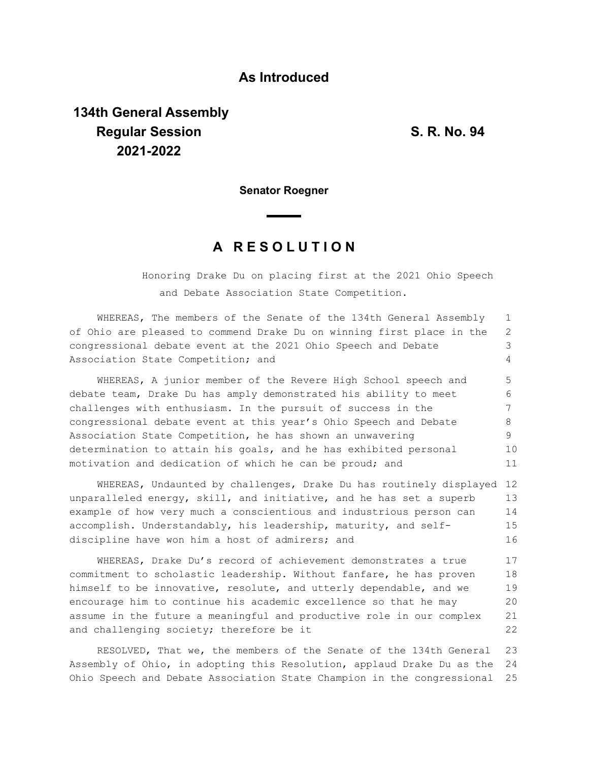## **As Introduced**

## **134th General Assembly Regular Session S. R. No. 94 2021-2022**

**Senator Roegner**

## **A R E S O L U T I O N**

Honoring Drake Du on placing first at the 2021 Ohio Speech and Debate Association State Competition.

| WHEREAS, The members of the Senate of the 134th General Assembly      |    |  |  |  |  |  |  |  |  |
|-----------------------------------------------------------------------|----|--|--|--|--|--|--|--|--|
| of Ohio are pleased to commend Drake Du on winning first place in the |    |  |  |  |  |  |  |  |  |
| congressional debate event at the 2021 Ohio Speech and Debate         |    |  |  |  |  |  |  |  |  |
| Association State Competition; and                                    |    |  |  |  |  |  |  |  |  |
| WHEREAS, A junior member of the Revere High School speech and         | 5  |  |  |  |  |  |  |  |  |
| debate team, Drake Du has amply demonstrated his ability to meet      |    |  |  |  |  |  |  |  |  |
| challenges with enthusiasm. In the pursuit of success in the          |    |  |  |  |  |  |  |  |  |
| congressional debate event at this year's Ohio Speech and Debate      |    |  |  |  |  |  |  |  |  |
| Association State Competition, he has shown an unwavering             |    |  |  |  |  |  |  |  |  |
| determination to attain his goals, and he has exhibited personal      |    |  |  |  |  |  |  |  |  |
| motivation and dedication of which he can be proud; and               |    |  |  |  |  |  |  |  |  |
| WHEREAS, Undaunted by challenges, Drake Du has routinely displayed 12 |    |  |  |  |  |  |  |  |  |
|                                                                       | 12 |  |  |  |  |  |  |  |  |

unparalleled energy, skill, and initiative, and he has set a superb example of how very much a conscientious and industrious person can accomplish. Understandably, his leadership, maturity, and selfdiscipline have won him a host of admirers; and 13 14 15 16

WHEREAS, Drake Du's record of achievement demonstrates a true commitment to scholastic leadership. Without fanfare, he has proven himself to be innovative, resolute, and utterly dependable, and we encourage him to continue his academic excellence so that he may assume in the future a meaningful and productive role in our complex and challenging society; therefore be it 17 18 19 20 21 22

RESOLVED, That we, the members of the Senate of the 134th General Assembly of Ohio, in adopting this Resolution, applaud Drake Du as the Ohio Speech and Debate Association State Champion in the congressional 23 24 25